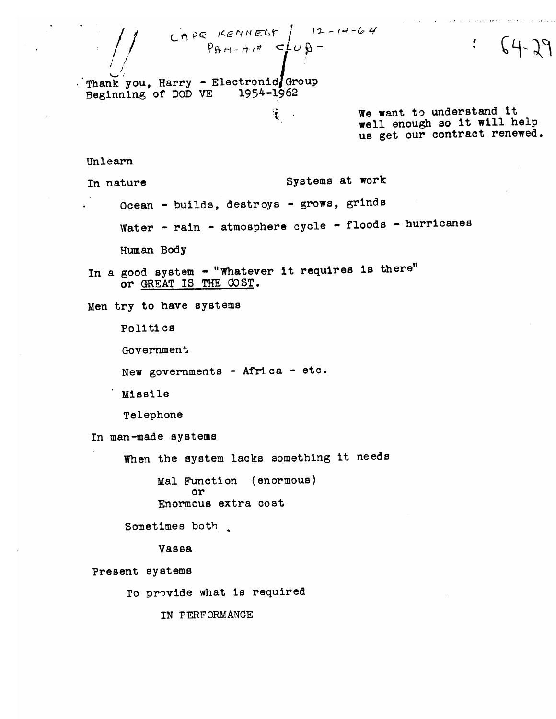CAPE KENNELS  $\left\{\n\begin{array}{ccc}\n12 - 14 - 64 \\
\beta + 1 - 11 \end{array}\n\right\}$  $64 - 29$ Thank you. Harry - Electronic Group Beginning of DOD VE 1954-1962 We want to understand it  $\mathbf{R}$  . well enough so it will help us get our contract renewed. Unlearn Systems at work In nature Ocean - builds, destroys - grows, grinds Water - rain - atmosphere cycle - floods - hurricanes Human Body In a good system - "Whatever it requires is there" or GREAT IS THE COST. Men try to have systems Politics Government New governments - Africa - etc. **Missile** Telephone In man-made systems When the system lacks something it needs Mal Function (enormous) or Enormous extra cost Sometimes both **Vassa** Present systems To provide what is required

IN PERFORMANCE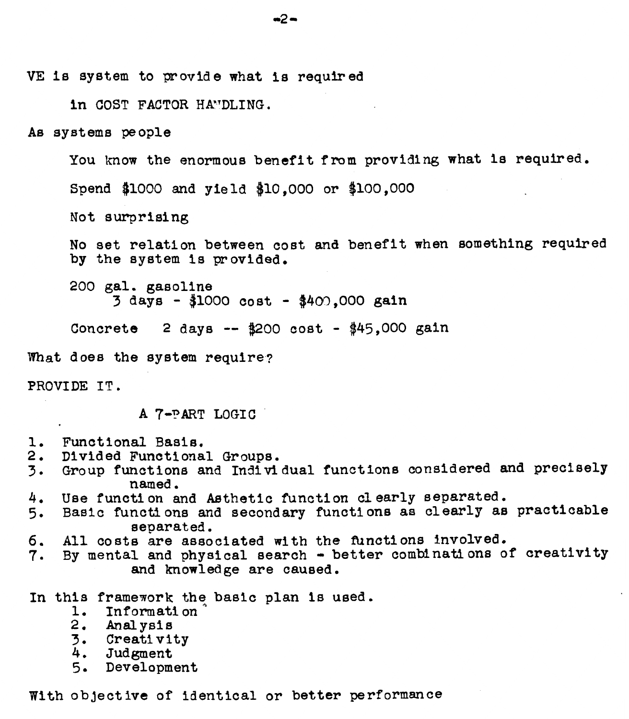VE is system to provide what is required

in COST FACTOR HANDLING.

As systems people

You know the enormous benefit from providing what is required. Spend \$1000 and yield \$10.000 or \$100.000 Not surprising

No set relation between cost and benefit when something required by the system is provided.

200 gal. gasoline  $3 \text{ days} - $1000 \text{ cost} - $400.000 \text{ gain}$ 

Concrete 2 days --  $\frac{4200}{100}$  cost -  $\frac{445}{100}$  gain

What does the system require?

PROVIDE IT.

A 7-PART LOGIC

- 1. Functional Basis.
- 2. Divided Functional Groups.
- 3. Group functions and Individual functions considered and precisely named.
- Use function and Asthetic function clearly separated. 4.
- 5. Basic functions and secondary functions as clearly as practicable separated.
- 6. All costs are associated with the functions involved.
- 7. By mental and physical search better combinations of creativity and knowledge are caused.

In this framework the basic plan is used.

- 1. Information
- 
- 2. Analysis<br>3. Creativity
- 4. Judgment
- 5. Development

With objective of identical or better performance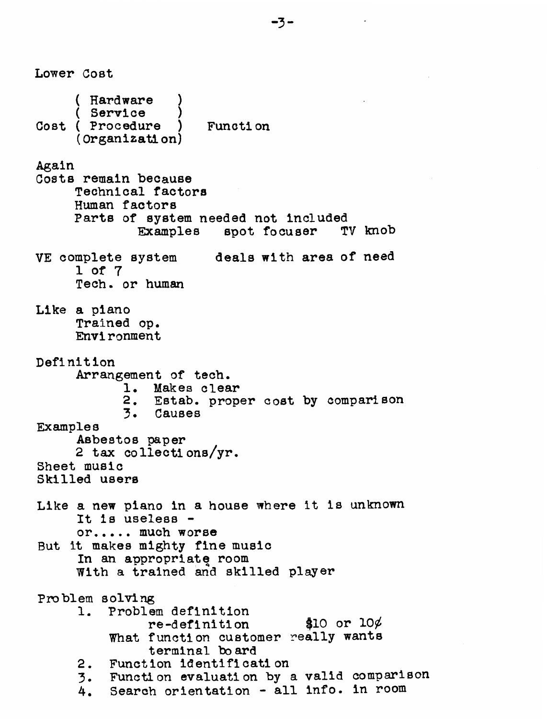**Lower** Cost ( Hardware ( Service 1 Cost ( Procedure ) Function ( Organizatl on) **Again**  Costs remain because Technical factors Human factors Parta of system needed not Included Examples epot Iocuaer TV knob VE complete aystem **deale** with area of need **1** of 7 **Tech.** or **human**  Like **a** piano Trained op. Envi ronment Definition Arrangement of **tech. 1.** Makes clear 2. Estab. **proper** cost by comparison 3. Causes Examples Asbestos **paper**  2 **tax** collecti ona/yr. Sheet music Skilled user8 Like a **new** piano In a house where it is unknown It la uselesa or,,... much worse But it makes mighty fine music In an appropriata room **With** a trained **and** skilled **player**  Problem **solving**  1. Problem definition re-definition What function customer **really** want8 terminal **bo ard**  2. Function identifl cat1 on **3.** Function evaluation by a valid cornpariaon 4. Search orientation - all info. in room